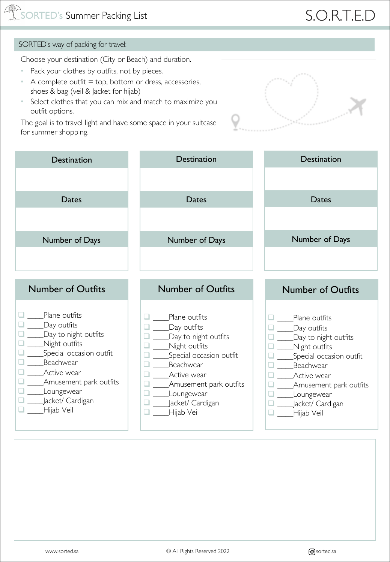# S.O.R.T.E.D

#### SORTED's way of packing for travel:

Choose your destination (City or Beach) and duration.

- Pack your clothes by outfits, not by pieces.
- A complete outfit  $=$  top, bottom or dress, accessories, shoes & bag (veil & Jacket for hijab)
- Select clothes that you can mix and match to maximize you outfit options.

The goal is to travel light and have some space in your suitcase for summer shopping.



| <b>Destination</b>       | Destination              | Destination              |
|--------------------------|--------------------------|--------------------------|
|                          |                          |                          |
| Dates                    | Dates                    | Dates                    |
|                          |                          |                          |
| Number of Days           | Number of Days           | Number of Days           |
|                          |                          |                          |
|                          |                          |                          |
| <b>Number of Outfits</b> | <b>Number of Outfits</b> | <b>Number of Outfits</b> |
|                          |                          |                          |